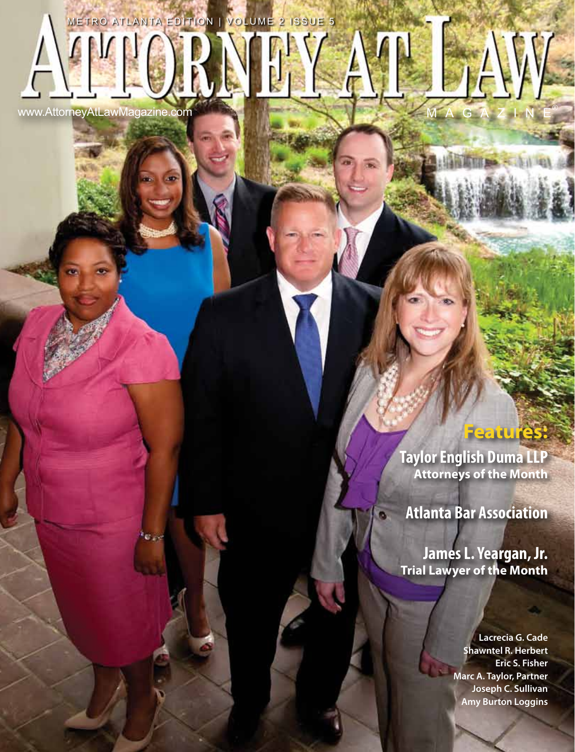www.AttorneyAtLawMagazine.com

METRO ATLANTA EDITION | VOLUME 2 ISSUE 5

# **Features:**

**Taylor English Duma LLP Attorneys of the Month**

**Atlanta Bar Association**

**James L. Yeargan, Jr. Trial Lawyer of the Month**

> **Lacrecia G. Cade Shawntel R. Herbert Eric S. Fisher Marc A. Taylor, Partner Joseph C. Sullivan Amy Burton Loggins**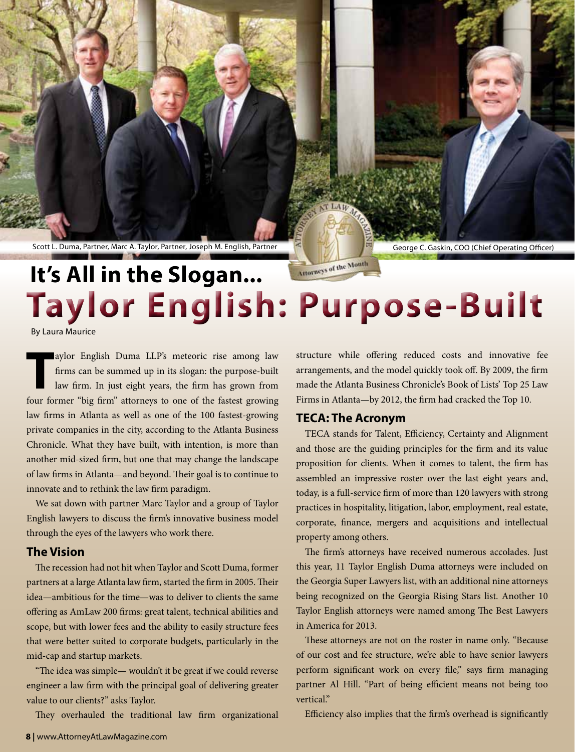Scott L. Duma, Partner, Marc A. Taylor, Partner, Joseph M. English, Partner George C. Gaskin, COO (Chief Operating Officer)

# Morneys of the Month **It's All in the Slogan... Taylor English: Purpose-Built**

By Laura Maurice

**T** aylor English Duma LLP's meteoric rise among law firms can be summed up in its slogan: the purpose-built law firm. In just eight years, the firm has grown from four former "big firm" attorneys to one of the fastest growing law firms in Atlanta as well as one of the 100 fastest-growing private companies in the city, according to the Atlanta Business Chronicle. What they have built, with intention, is more than another mid-sized firm, but one that may change the landscape of law firms in Atlanta—and beyond. Their goal is to continue to innovate and to rethink the law firm paradigm.

We sat down with partner Marc Taylor and a group of Taylor English lawyers to discuss the firm's innovative business model through the eyes of the lawyers who work there.

#### **The Vision**

The recession had not hit when Taylor and Scott Duma, former partners at a large Atlanta law firm, started the firm in 2005. Their idea—ambitious for the time—was to deliver to clients the same offering as AmLaw 200 firms: great talent, technical abilities and scope, but with lower fees and the ability to easily structure fees that were better suited to corporate budgets, particularly in the mid-cap and startup markets.

"The idea was simple— wouldn't it be great if we could reverse engineer a law firm with the principal goal of delivering greater value to our clients?" asks Taylor.

They overhauled the traditional law firm organizational

structure while offering reduced costs and innovative fee arrangements, and the model quickly took off. By 2009, the firm made the Atlanta Business Chronicle's Book of Lists' Top 25 Law Firms in Atlanta—by 2012, the firm had cracked the Top 10.

### **TECA: The Acronym**

TECA stands for Talent, Efficiency, Certainty and Alignment and those are the guiding principles for the firm and its value proposition for clients. When it comes to talent, the firm has assembled an impressive roster over the last eight years and, today, is a full-service firm of more than 120 lawyers with strong practices in hospitality, litigation, labor, employment, real estate, corporate, finance, mergers and acquisitions and intellectual property among others.

The firm's attorneys have received numerous accolades. Just this year, 11 Taylor English Duma attorneys were included on the Georgia Super Lawyers list, with an additional nine attorneys being recognized on the Georgia Rising Stars list. Another 10 Taylor English attorneys were named among The Best Lawyers in America for 2013.

These attorneys are not on the roster in name only. "Because of our cost and fee structure, we're able to have senior lawyers perform significant work on every file," says firm managing partner Al Hill. "Part of being efficient means not being too vertical."

Efficiency also implies that the firm's overhead is significantly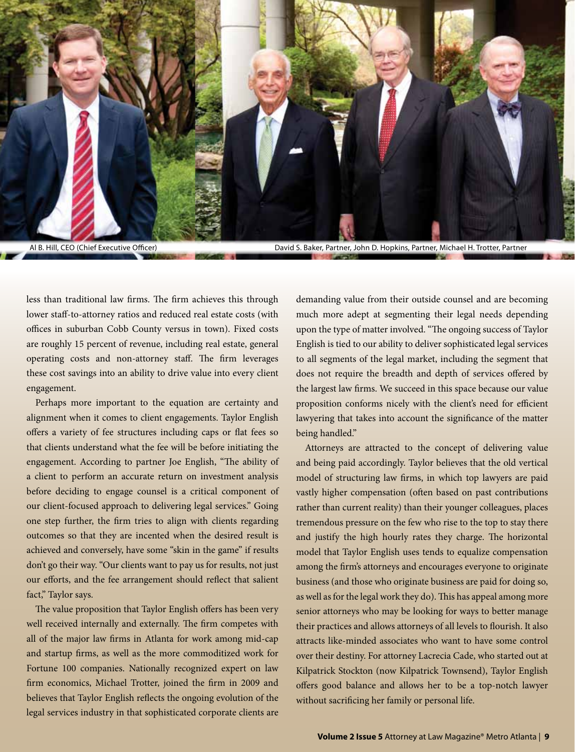

Al B. Hill, CEO (Chief Executive Officer) **David S. Baker, Partner, John D. Hopkins, Partner**, Michael H. Trotter, Partner

less than traditional law firms. The firm achieves this through lower staff-to-attorney ratios and reduced real estate costs (with offices in suburban Cobb County versus in town). Fixed costs are roughly 15 percent of revenue, including real estate, general operating costs and non-attorney staff. The firm leverages these cost savings into an ability to drive value into every client engagement.

Perhaps more important to the equation are certainty and alignment when it comes to client engagements. Taylor English offers a variety of fee structures including caps or flat fees so that clients understand what the fee will be before initiating the engagement. According to partner Joe English, "The ability of a client to perform an accurate return on investment analysis before deciding to engage counsel is a critical component of our client-focused approach to delivering legal services." Going one step further, the firm tries to align with clients regarding outcomes so that they are incented when the desired result is achieved and conversely, have some "skin in the game" if results don't go their way. "Our clients want to pay us for results, not just our efforts, and the fee arrangement should reflect that salient fact," Taylor says.

The value proposition that Taylor English offers has been very well received internally and externally. The firm competes with all of the major law firms in Atlanta for work among mid-cap and startup firms, as well as the more commoditized work for Fortune 100 companies. Nationally recognized expert on law firm economics, Michael Trotter, joined the firm in 2009 and believes that Taylor English reflects the ongoing evolution of the legal services industry in that sophisticated corporate clients are demanding value from their outside counsel and are becoming much more adept at segmenting their legal needs depending upon the type of matter involved. "The ongoing success of Taylor English is tied to our ability to deliver sophisticated legal services to all segments of the legal market, including the segment that does not require the breadth and depth of services offered by the largest law firms. We succeed in this space because our value proposition conforms nicely with the client's need for efficient lawyering that takes into account the significance of the matter being handled."

Attorneys are attracted to the concept of delivering value and being paid accordingly. Taylor believes that the old vertical model of structuring law firms, in which top lawyers are paid vastly higher compensation (often based on past contributions rather than current reality) than their younger colleagues, places tremendous pressure on the few who rise to the top to stay there and justify the high hourly rates they charge. The horizontal model that Taylor English uses tends to equalize compensation among the firm's attorneys and encourages everyone to originate business (and those who originate business are paid for doing so, as well as for the legal work they do). This has appeal among more senior attorneys who may be looking for ways to better manage their practices and allows attorneys of all levels to flourish. It also attracts like-minded associates who want to have some control over their destiny. For attorney Lacrecia Cade, who started out at Kilpatrick Stockton (now Kilpatrick Townsend), Taylor English offers good balance and allows her to be a top-notch lawyer without sacrificing her family or personal life.